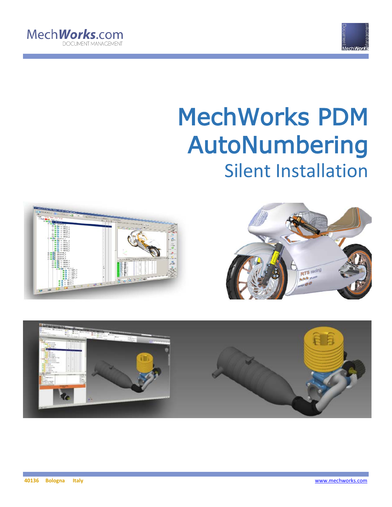



# MechWorks PDM AutoNumbering Silent Installation